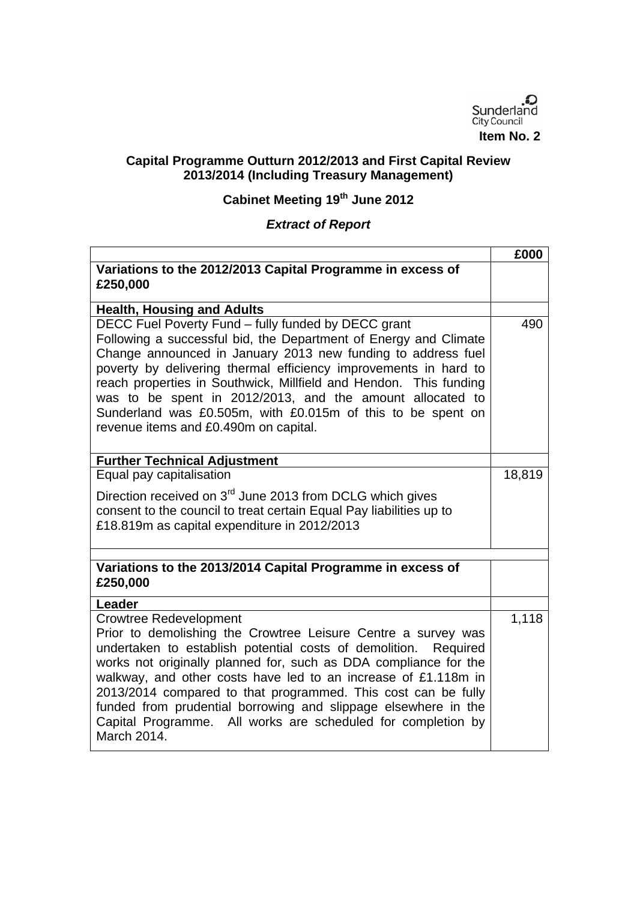

## **Capital Programme Outturn 2012/2013 and First Capital Review 2013/2014 (Including Treasury Management)**

## **Cabinet Meeting 19th June 2012**

## *Extract of Report*

|                                                                                                                                                                                                                                                                                                                                                                                                                                                                                                                              | £000               |
|------------------------------------------------------------------------------------------------------------------------------------------------------------------------------------------------------------------------------------------------------------------------------------------------------------------------------------------------------------------------------------------------------------------------------------------------------------------------------------------------------------------------------|--------------------|
| Variations to the 2012/2013 Capital Programme in excess of                                                                                                                                                                                                                                                                                                                                                                                                                                                                   |                    |
| £250,000                                                                                                                                                                                                                                                                                                                                                                                                                                                                                                                     |                    |
| <b>Health, Housing and Adults</b>                                                                                                                                                                                                                                                                                                                                                                                                                                                                                            |                    |
| DECC Fuel Poverty Fund - fully funded by DECC grant<br>Following a successful bid, the Department of Energy and Climate<br>Change announced in January 2013 new funding to address fuel<br>poverty by delivering thermal efficiency improvements in hard to<br>reach properties in Southwick, Millfield and Hendon. This funding<br>was to be spent in 2012/2013, and the amount allocated to<br>Sunderland was £0.505m, with £0.015m of this to be spent on<br>revenue items and £0.490m on capital.                        | 490                |
| <b>Further Technical Adjustment</b>                                                                                                                                                                                                                                                                                                                                                                                                                                                                                          |                    |
| Equal pay capitalisation                                                                                                                                                                                                                                                                                                                                                                                                                                                                                                     | 18,819             |
| Direction received on 3 <sup>rd</sup> June 2013 from DCLG which gives<br>consent to the council to treat certain Equal Pay liabilities up to<br>£18.819m as capital expenditure in 2012/2013                                                                                                                                                                                                                                                                                                                                 |                    |
|                                                                                                                                                                                                                                                                                                                                                                                                                                                                                                                              |                    |
| Variations to the 2013/2014 Capital Programme in excess of<br>£250,000                                                                                                                                                                                                                                                                                                                                                                                                                                                       |                    |
| Leader                                                                                                                                                                                                                                                                                                                                                                                                                                                                                                                       |                    |
| <b>Crowtree Redevelopment</b><br>Prior to demolishing the Crowtree Leisure Centre a survey was<br>undertaken to establish potential costs of demolition.<br>Required<br>works not originally planned for, such as DDA compliance for the<br>walkway, and other costs have led to an increase of £1.118m in<br>2013/2014 compared to that programmed. This cost can be fully<br>funded from prudential borrowing and slippage elsewhere in the<br>Capital Programme. All works are scheduled for completion by<br>March 2014. | $\overline{1,118}$ |